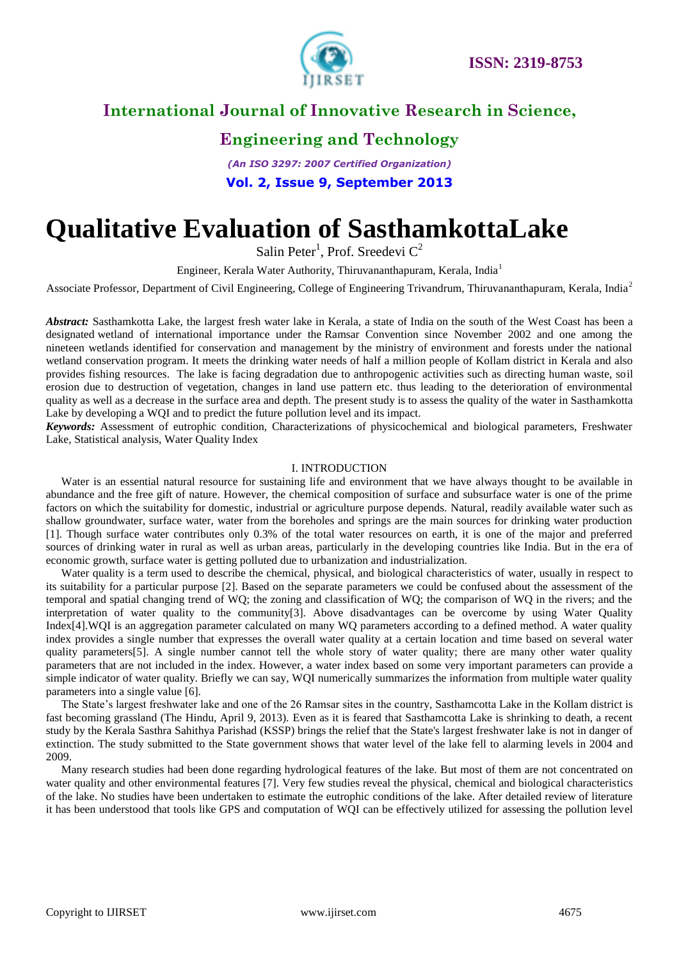

# **Engineering and Technology**

*(An ISO 3297: 2007 Certified Organization)* **Vol. 2, Issue 9, September 2013**

# **Qualitative Evaluation of SasthamkottaLake**

Salin Peter<sup>1</sup>, Prof. Sreedevi  $C^2$ 

Engineer, Kerala Water Authority, Thiruvananthapuram, Kerala, India<sup>1</sup>

Associate Professor, Department of Civil Engineering, College of Engineering Trivandrum, Thiruvananthapuram, Kerala, India<sup>2</sup>

*Abstract:* Sasthamkotta Lake, the largest fresh water lake in Kerala, a state of India on the south of the West Coast has been a designated wetland of international importance under the Ramsar Convention since November 2002 and one among the nineteen wetlands identified for conservation and management by the ministry of environment and forests under the national wetland conservation program. It meets the drinking water needs of half a million people of Kollam district in Kerala and also provides fishing resources. The lake is facing degradation due to anthropogenic activities such as directing human waste, soil erosion due to destruction of vegetation, changes in land use pattern etc. thus leading to the deterioration of environmental quality as well as a decrease in the surface area and depth. The present study is to assess the quality of the water in Sasthamkotta Lake by developing a WQI and to predict the future pollution level and its impact.

*Keywords:* Assessment of eutrophic condition, Characterizations of physicochemical and biological parameters, Freshwater Lake, Statistical analysis, Water Quality Index

### I. INTRODUCTION

Water is an essential natural resource for sustaining life and environment that we have always thought to be available in abundance and the free gift of nature. However, the chemical composition of surface and subsurface water is one of the prime factors on which the suitability for domestic, industrial or agriculture purpose depends. Natural, readily available water such as shallow groundwater, surface water, water from the boreholes and springs are the main sources for drinking water production [1]. Though surface water contributes only 0.3% of the total water resources on earth, it is one of the major and preferred sources of drinking water in rural as well as urban areas, particularly in the developing countries like India. But in the era of economic growth, surface water is getting polluted due to urbanization and industrialization.

Water quality is a term used to describe the chemical, physical, and biological characteristics of water, usually in respect to its suitability for a particular purpose [2]. Based on the separate parameters we could be confused about the assessment of the temporal and spatial changing trend of WQ; the zoning and classification of WQ; the comparison of WQ in the rivers; and the interpretation of water quality to the community[3]. Above disadvantages can be overcome by using Water Quality Index[4].WQI is an aggregation parameter calculated on many WQ parameters according to a defined method. A water quality index provides a single number that expresses the overall water quality at a certain location and time based on several water quality parameters[5]. A single number cannot tell the whole story of water quality; there are many other water quality parameters that are not included in the index. However, a water index based on some very important parameters can provide a simple indicator of water quality. Briefly we can say, WQI numerically summarizes the information from multiple water quality parameters into a single value [6].

The State's largest freshwater lake and one of the 26 Ramsar sites in the country, Sasthamcotta Lake in the Kollam district is fast becoming grassland (The Hindu, April 9, 2013). Even as it is feared that Sasthamcotta Lake is shrinking to death, a recent study by the Kerala Sasthra Sahithya Parishad (KSSP) brings the relief that the State's largest freshwater lake is not in danger of extinction. The study submitted to the State government shows that water level of the lake fell to alarming levels in 2004 and 2009.

Many research studies had been done regarding hydrological features of the lake. But most of them are not concentrated on water quality and other environmental features [7]. Very few studies reveal the physical, chemical and biological characteristics of the lake. No studies have been undertaken to estimate the eutrophic conditions of the lake. After detailed review of literature it has been understood that tools like GPS and computation of WQI can be effectively utilized for assessing the pollution level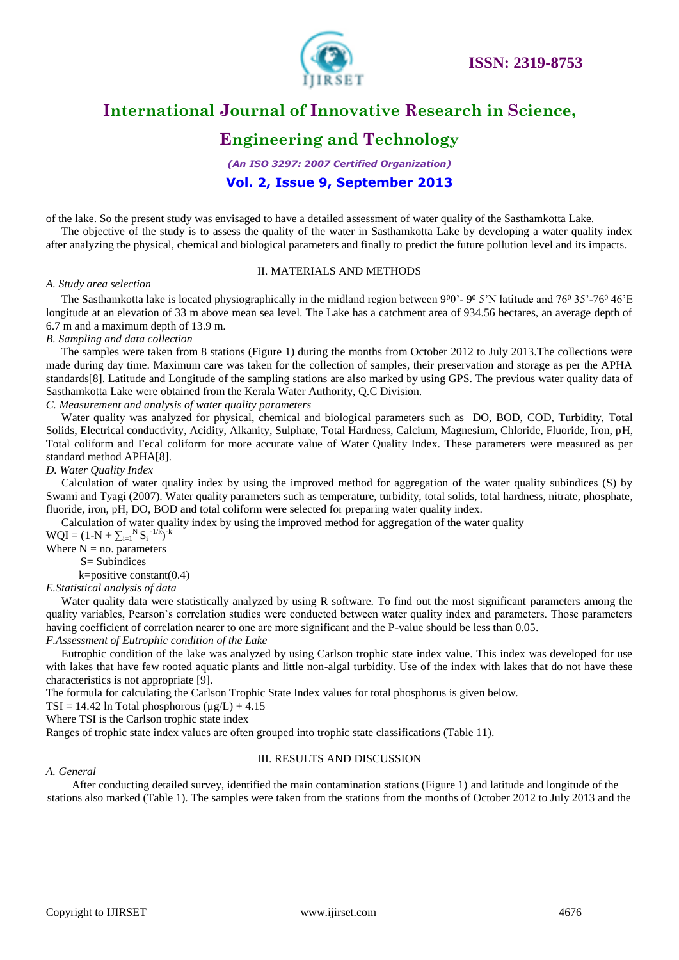

# **Engineering and Technology**

*(An ISO 3297: 2007 Certified Organization)*

### **Vol. 2, Issue 9, September 2013**

of the lake. So the present study was envisaged to have a detailed assessment of water quality of the Sasthamkotta Lake.

The objective of the study is to assess the quality of the water in Sasthamkotta Lake by developing a water quality index after analyzing the physical, chemical and biological parameters and finally to predict the future pollution level and its impacts.

### II. MATERIALS AND METHODS

#### *A. Study area selection*

The Sasthamkotta lake is located physiographically in the midland region between  $900$ <sup>-</sup>  $90\%$  S'N latitude and  $76\%$  35'-76<sup>0</sup> 46'E longitude at an elevation of 33 m above mean sea level. The Lake has a catchment area of 934.56 hectares, an average depth of 6.7 m and a maximum depth of 13.9 m.

*B. Sampling and data collection*

The samples were taken from 8 stations (Figure 1) during the months from October 2012 to July 2013.The collections were made during day time. Maximum care was taken for the collection of samples, their preservation and storage as per the APHA standards[8]. Latitude and Longitude of the sampling stations are also marked by using GPS. The previous water quality data of Sasthamkotta Lake were obtained from the Kerala Water Authority, Q.C Division.

### *C. Measurement and analysis of water quality parameters*

Water quality was analyzed for physical, chemical and biological parameters such as DO, BOD, COD, Turbidity, Total Solids, Electrical conductivity, Acidity, Alkanity, Sulphate, Total Hardness, Calcium, Magnesium, Chloride, Fluoride, Iron, pH, Total coliform and Fecal coliform for more accurate value of Water Quality Index. These parameters were measured as per standard method APHA[8].

### *D. Water Quality Index*

Calculation of water quality index by using the improved method for aggregation of the water quality subindices (S) by Swami and Tyagi (2007). Water quality parameters such as temperature, turbidity, total solids, total hardness, nitrate, phosphate, fluoride, iron, pH, DO, BOD and total coliform were selected for preparing water quality index.

Calculation of water quality index by using the improved method for aggregation of the water quality

 $WQI = (1-N + \sum_{i=1}^{N} S_i^{-1/k})^{-k}$ 

Where  $N = no$ . parameters S= Subindices

k=positive constant(0.4)

*E.Statistical analysis of data*

Water quality data were statistically analyzed by using R software. To find out the most significant parameters among the quality variables, Pearson's correlation studies were conducted between water quality index and parameters. Those parameters having coefficient of correlation nearer to one are more significant and the P-value should be less than 0.05.

*F.Assessment of Eutrophic condition of the Lake*

Eutrophic condition of the lake was analyzed by using Carlson trophic state index value. This index was developed for use with lakes that have few rooted aquatic plants and little non-algal turbidity. Use of the index with lakes that do not have these characteristics is not appropriate [9].

The formula for calculating the Carlson Trophic State Index values for total phosphorus is given below.

 $TSI = 14.42$  ln Total phosphorous  $(\mu g/L) + 4.15$ 

Where TSI is the Carlson trophic state index

Ranges of trophic state index values are often grouped into trophic state classifications (Table 11).

### III. RESULTS AND DISCUSSION

### *A. General*

After conducting detailed survey, identified the main contamination stations (Figure 1) and latitude and longitude of the stations also marked (Table 1). The samples were taken from the stations from the months of October 2012 to July 2013 and the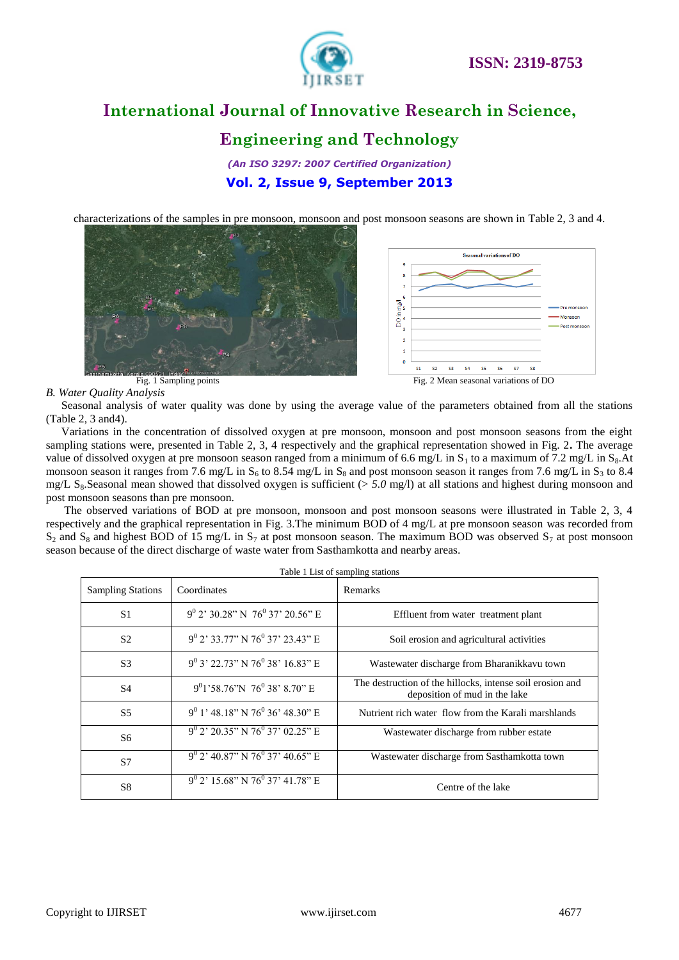

### **Engineering and Technology**

*(An ISO 3297: 2007 Certified Organization)* **Vol. 2, Issue 9, September 2013**

characterizations of the samples in pre monsoon, monsoon and post monsoon seasons are shown in Table 2, 3 and 4.





*B. Water Quality Analysis*

Seasonal analysis of water quality was done by using the average value of the parameters obtained from all the stations (Table 2, 3 and4).

Variations in the concentration of dissolved oxygen at pre monsoon, monsoon and post monsoon seasons from the eight sampling stations were, presented in Table 2, 3, 4 respectively and the graphical representation showed in Fig. 2**.** The average value of dissolved oxygen at pre monsoon season ranged from a minimum of 6.6 mg/L in  $S_1$  to a maximum of 7.2 mg/L in  $S_2$ .At monsoon season it ranges from 7.6 mg/L in  $S_6$  to 8.54 mg/L in  $S_8$  and post monsoon season it ranges from 7.6 mg/L in  $S_3$  to 8.4 mg/L S<sub>8</sub>.Seasonal mean showed that dissolved oxygen is sufficient (> 5.0 mg/l) at all stations and highest during monsoon and post monsoon seasons than pre monsoon.

The observed variations of BOD at pre monsoon, monsoon and post monsoon seasons were illustrated in Table 2, 3, 4 respectively and the graphical representation in Fig. 3.The minimum BOD of 4 mg/L at pre monsoon season was recorded from  $S_2$  and  $S_8$  and highest BOD of 15 mg/L in  $S_7$  at post monsoon season. The maximum BOD was observed  $S_7$  at post monsoon season because of the direct discharge of waste water from Sasthamkotta and nearby areas.

| Table 1 List of sampling stations |                                                  |                                                                                            |  |  |  |  |
|-----------------------------------|--------------------------------------------------|--------------------------------------------------------------------------------------------|--|--|--|--|
| <b>Sampling Stations</b>          | Coordinates                                      | Remarks                                                                                    |  |  |  |  |
| S <sub>1</sub>                    | $9^0$ 2' 30.28" N 76 <sup>0</sup> 37' 20.56" E   | Effluent from water treatment plant                                                        |  |  |  |  |
| S <sub>2</sub>                    | $9^0$ 2' 33.77" N 76 <sup>0</sup> 37' 23.43" E   | Soil erosion and agricultural activities                                                   |  |  |  |  |
| S <sub>3</sub>                    | $9^0$ 3' 22.73" N 76 <sup>0</sup> 38' 16.83" E   | Wastewater discharge from Bharanikkavu town                                                |  |  |  |  |
| <b>S4</b>                         | $9^{0}$ 1'58.76"N 76 <sup>0</sup> 38' 8.70" E    | The destruction of the hillocks, intense soil erosion and<br>deposition of mud in the lake |  |  |  |  |
| S <sub>5</sub>                    | $9^0$ 1' 48.18" N 76 <sup>0</sup> 36' 48.30" E   | Nutrient rich water flow from the Karali marshlands                                        |  |  |  |  |
| S <sub>6</sub>                    | $9^0$ 2' 20.35" N 76 <sup>0</sup> 37' 02.25" E   | Wastewater discharge from rubber estate                                                    |  |  |  |  |
| S7                                | $9^{0}$ 2' 40.87" N 76 <sup>0</sup> 37' 40.65" E | Wastewater discharge from Sasthamkotta town                                                |  |  |  |  |
| S <sub>8</sub>                    | $9^0$ 2' 15.68" N 76 <sup>0</sup> 37' 41.78" E   | Centre of the lake                                                                         |  |  |  |  |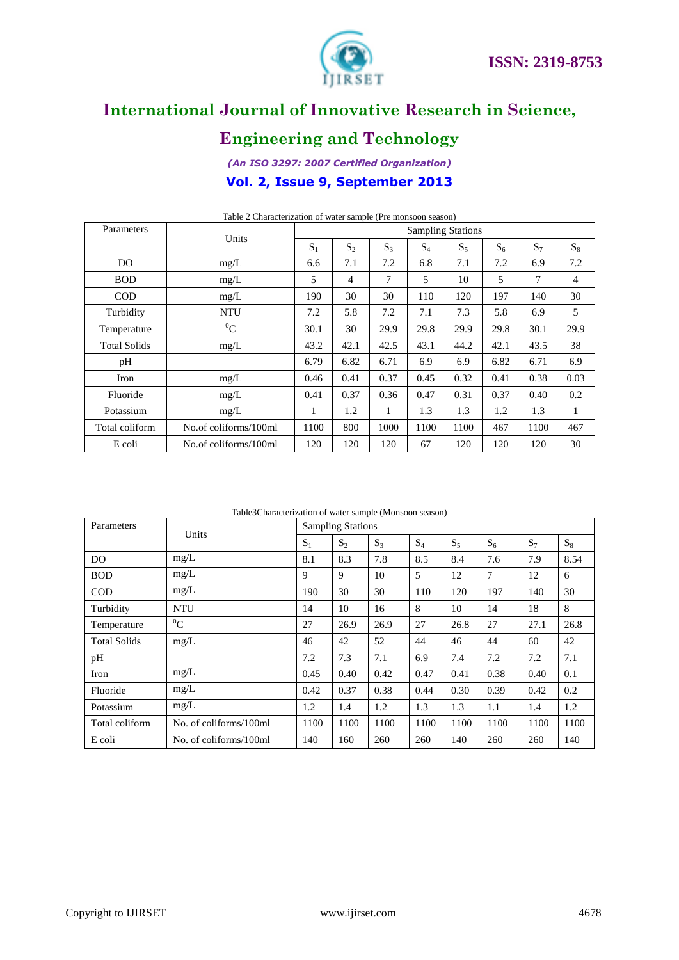

# **Engineering and Technology**

### *(An ISO 3297: 2007 Certified Organization)* **Vol. 2, Issue 9, September 2013**

| Parameters          | Units                 |       |                |       | <b>Sampling Stations</b> |       |       |       |       |  |  |
|---------------------|-----------------------|-------|----------------|-------|--------------------------|-------|-------|-------|-------|--|--|
|                     |                       | $S_1$ | $S_2$          | $S_3$ | $S_4$                    | $S_5$ | $S_6$ | $S_7$ | $S_8$ |  |  |
| D <sub>O</sub>      | mg/L                  | 6.6   | 7.1            | 7.2   | 6.8                      | 7.1   | 7.2   | 6.9   | 7.2   |  |  |
| <b>BOD</b>          | mg/L                  | 5     | $\overline{4}$ | 7     | 5                        | 10    | 5     | 7     | 4     |  |  |
| <b>COD</b>          | mg/L                  | 190   | 30             | 30    | 110                      | 120   | 197   | 140   | 30    |  |  |
| Turbidity           | <b>NTU</b>            | 7.2   | 5.8            | 7.2   | 7.1                      | 7.3   | 5.8   | 6.9   | 5     |  |  |
| Temperature         | ${}^{0}C$             | 30.1  | 30             | 29.9  | 29.8                     | 29.9  | 29.8  | 30.1  | 29.9  |  |  |
| <b>Total Solids</b> | mg/L                  | 43.2  | 42.1           | 42.5  | 43.1                     | 44.2  | 42.1  | 43.5  | 38    |  |  |
| pH                  |                       | 6.79  | 6.82           | 6.71  | 6.9                      | 6.9   | 6.82  | 6.71  | 6.9   |  |  |
| Iron                | mg/L                  | 0.46  | 0.41           | 0.37  | 0.45                     | 0.32  | 0.41  | 0.38  | 0.03  |  |  |
| Fluoride            | mg/L                  | 0.41  | 0.37           | 0.36  | 0.47                     | 0.31  | 0.37  | 0.40  | 0.2   |  |  |
| Potassium           | mg/L                  | 1     | 1.2            | 1     | 1.3                      | 1.3   | 1.2   | 1.3   | 1     |  |  |
| Total coliform      | No.of coliforms/100ml | 1100  | 800            | 1000  | 1100                     | 1100  | 467   | 1100  | 467   |  |  |
| E coli              | No.of coliforms/100ml | 120   | 120            | 120   | 67                       | 120   | 120   | 120   | 30    |  |  |

Table 2 Characterization of water sample (Pre monsoon season)

Table3Characterization of water sample (Monsoon season)

| Parameters          | Units                  | <b>Sampling Stations</b> |       |       |       |       |       |       |       |
|---------------------|------------------------|--------------------------|-------|-------|-------|-------|-------|-------|-------|
|                     |                        | $S_1$                    | $S_2$ | $S_3$ | $S_4$ | $S_5$ | $S_6$ | $S_7$ | $S_8$ |
| DO.                 | mg/L                   | 8.1                      | 8.3   | 7.8   | 8.5   | 8.4   | 7.6   | 7.9   | 8.54  |
| <b>BOD</b>          | mg/L                   | 9                        | 9     | 10    | 5     | 12    | 7     | 12    | 6     |
| <b>COD</b>          | mg/L                   | 190                      | 30    | 30    | 110   | 120   | 197   | 140   | 30    |
| Turbidity           | <b>NTU</b>             | 14                       | 10    | 16    | 8     | 10    | 14    | 18    | 8     |
| Temperature         | ${}^{0}C$              | 27                       | 26.9  | 26.9  | 27    | 26.8  | 27    | 27.1  | 26.8  |
| <b>Total Solids</b> | mg/L                   | 46                       | 42    | 52    | 44    | 46    | 44    | 60    | 42    |
| pH                  |                        | 7.2                      | 7.3   | 7.1   | 6.9   | 7.4   | 7.2   | 7.2   | 7.1   |
| Iron                | mg/L                   | 0.45                     | 0.40  | 0.42  | 0.47  | 0.41  | 0.38  | 0.40  | 0.1   |
| Fluoride            | mg/L                   | 0.42                     | 0.37  | 0.38  | 0.44  | 0.30  | 0.39  | 0.42  | 0.2   |
| Potassium           | mg/L                   | 1.2                      | 1.4   | 1.2   | 1.3   | 1.3   | 1.1   | 1.4   | 1.2   |
| Total coliform      | No. of coliforms/100ml | 1100                     | 1100  | 1100  | 1100  | 1100  | 1100  | 1100  | 1100  |
| E coli              | No. of coliforms/100ml | 140                      | 160   | 260   | 260   | 140   | 260   | 260   | 140   |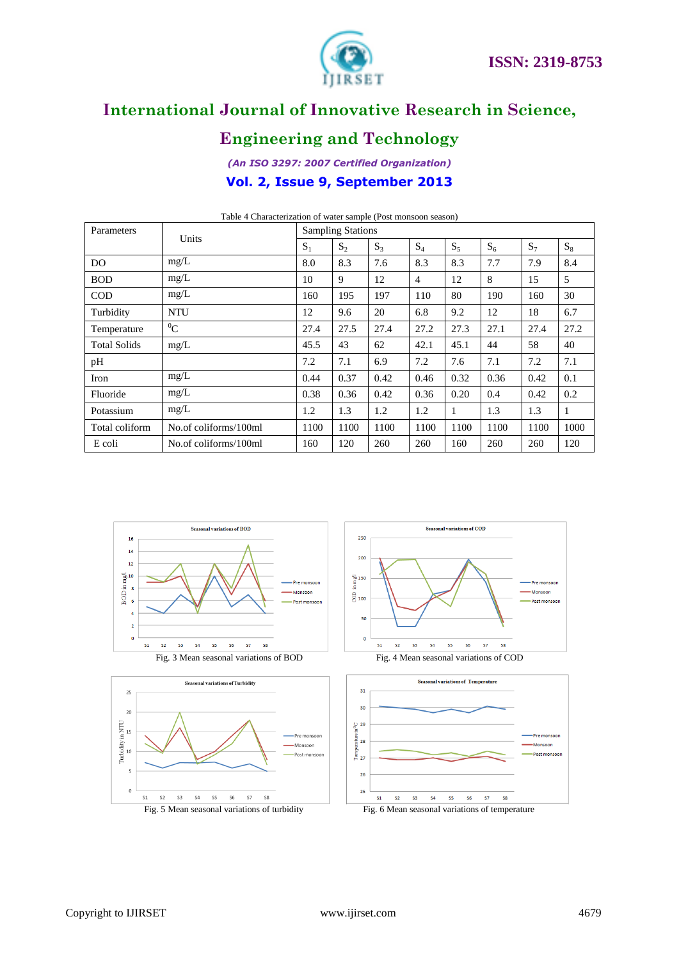

# **Engineering and Technology**

*(An ISO 3297: 2007 Certified Organization)* **Vol. 2, Issue 9, September 2013**

| Parameters          | Units                 | <b>Sampling Stations</b> |       |       |       |       |       |       |       |
|---------------------|-----------------------|--------------------------|-------|-------|-------|-------|-------|-------|-------|
|                     |                       | $S_1$                    | $S_2$ | $S_3$ | $S_4$ | $S_5$ | $S_6$ | $S_7$ | $S_8$ |
| DO.                 | mg/L                  | 8.0                      | 8.3   | 7.6   | 8.3   | 8.3   | 7.7   | 7.9   | 8.4   |
| <b>BOD</b>          | mg/L                  | 10                       | 9     | 12    | 4     | 12    | 8     | 15    | 5     |
| <b>COD</b>          | mg/L                  | 160                      | 195   | 197   | 110   | 80    | 190   | 160   | 30    |
| Turbidity           | <b>NTU</b>            | 12                       | 9.6   | 20    | 6.8   | 9.2   | 12    | 18    | 6.7   |
| Temperature         | ${}^{0}C$             | 27.4                     | 27.5  | 27.4  | 27.2  | 27.3  | 27.1  | 27.4  | 27.2  |
| <b>Total Solids</b> | mg/L                  | 45.5                     | 43    | 62    | 42.1  | 45.1  | 44    | 58    | 40    |
| pH                  |                       | 7.2                      | 7.1   | 6.9   | 7.2   | 7.6   | 7.1   | 7.2   | 7.1   |
| Iron                | mg/L                  | 0.44                     | 0.37  | 0.42  | 0.46  | 0.32  | 0.36  | 0.42  | 0.1   |
| Fluoride            | mg/L                  | 0.38                     | 0.36  | 0.42  | 0.36  | 0.20  | 0.4   | 0.42  | 0.2   |
| Potassium           | mg/L                  | 1.2                      | 1.3   | 1.2   | 1.2   | 1     | 1.3   | 1.3   | 1     |
| Total coliform      | No.of coliforms/100ml | 1100                     | 1100  | 1100  | 1100  | 1100  | 1100  | 1100  | 1000  |
| E coli              | No.of coliforms/100ml | 160                      | 120   | 260   | 260   | 160   | 260   | 260   | 120   |

Table 4 Characterization of water sample (Post monsoon season)

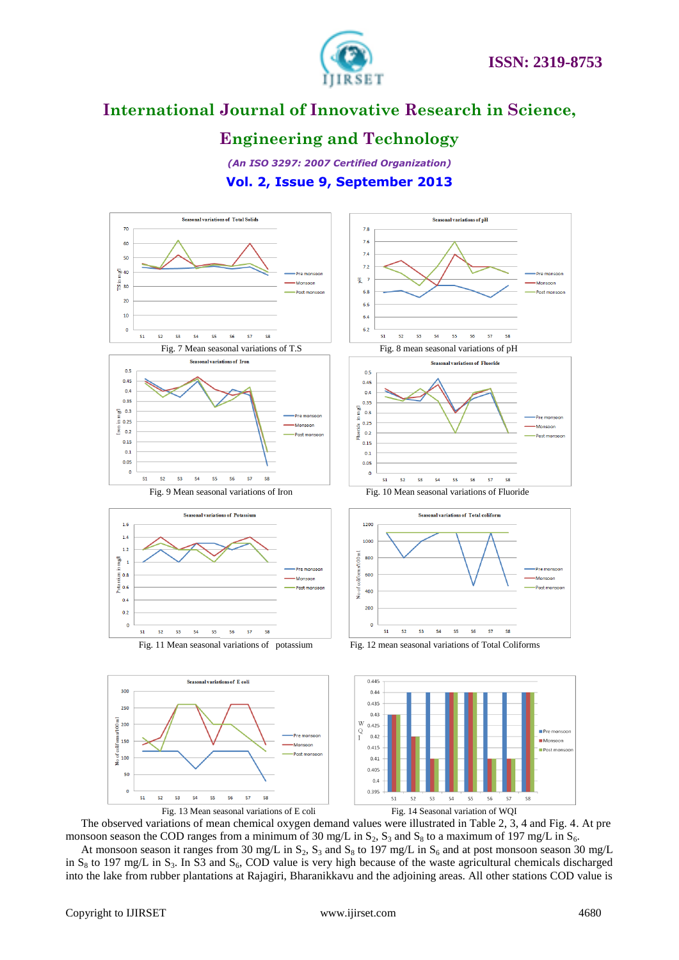

### **Engineering and Technology**

*(An ISO 3297: 2007 Certified Organization)* **Vol. 2, Issue 9, September 2013**



The observed variations of mean chemical oxygen demand values were illustrated in Table 2, 3, 4 and Fig. 4. At pre monsoon season the COD ranges from a minimum of 30 mg/L in  $S_2$ ,  $S_3$  and  $S_8$  to a maximum of 197 mg/L in  $S_6$ .

At monsoon season it ranges from 30 mg/L in  $S_2$ ,  $S_3$  and  $S_8$  to 197 mg/L in  $S_6$  and at post monsoon season 30 mg/L in  $S_8$  to 197 mg/L in  $S_3$ . In S3 and  $S_6$ , COD value is very high because of the waste agricultural chemicals discharged into the lake from rubber plantations at Rajagiri, Bharanikkavu and the adjoining areas. All other stations COD value is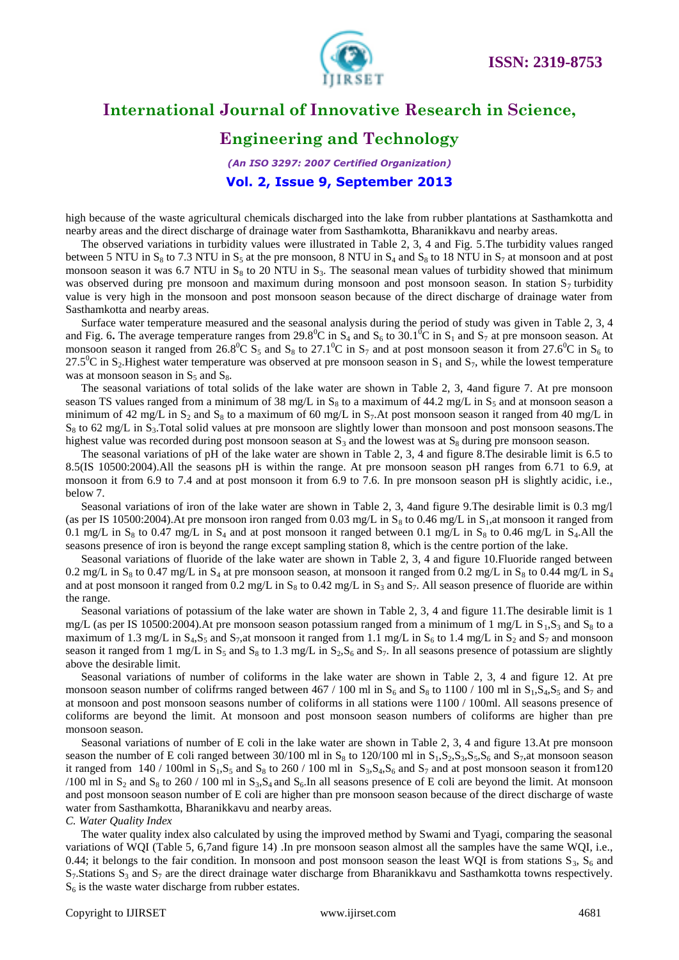

### **Engineering and Technology**

*(An ISO 3297: 2007 Certified Organization)* **Vol. 2, Issue 9, September 2013**

high because of the waste agricultural chemicals discharged into the lake from rubber plantations at Sasthamkotta and nearby areas and the direct discharge of drainage water from Sasthamkotta, Bharanikkavu and nearby areas.

The observed variations in turbidity values were illustrated in Table 2, 3, 4 and Fig. 5.The turbidity values ranged between 5 NTU in S<sub>8</sub> to 7.3 NTU in S<sub>5</sub> at the pre monsoon, 8 NTU in S<sub>4</sub> and S<sub>8</sub> to 18 NTU in S<sub>7</sub> at monsoon and at post monsoon season it was 6.7 NTU in  $S_8$  to 20 NTU in  $S_3$ . The seasonal mean values of turbidity showed that minimum was observed during pre monsoon and maximum during monsoon and post monsoon season. In station  $S_7$  turbidity value is very high in the monsoon and post monsoon season because of the direct discharge of drainage water from Sasthamkotta and nearby areas.

Surface water temperature measured and the seasonal analysis during the period of study was given in Table 2, 3, 4 and Fig. 6. The average temperature ranges from 29.8<sup>0</sup>C in S<sub>4</sub> and S<sub>6</sub> to 30.1<sup>0</sup>C in S<sub>1</sub> and S<sub>7</sub> at pre monsoon season. At monsoon season it ranged from 26.8<sup>0</sup>C S<sub>5</sub> and S<sub>8</sub> to 27.1<sup>0</sup>C in S<sub>7</sub> and at post monsoon season it from 27.6<sup>0</sup>C in S<sub>6</sub> to  $27.5^{\circ}$ C in S<sub>2</sub>. Highest water temperature was observed at pre monsoon season in S<sub>1</sub> and S<sub>7</sub>, while the lowest temperature was at monsoon season in  $S_5$  and  $S_8$ .

The seasonal variations of total solids of the lake water are shown in Table 2, 3, 4and figure 7. At pre monsoon season TS values ranged from a minimum of 38 mg/L in  $S_8$  to a maximum of 44.2 mg/L in  $S_5$  and at monsoon season a minimum of 42 mg/L in  $S_2$  and  $S_8$  to a maximum of 60 mg/L in  $S_7$ . At post monsoon season it ranged from 40 mg/L in  $S_8$  to 62 mg/L in  $S_3$ . Total solid values at pre monsoon are slightly lower than monsoon and post monsoon seasons. The highest value was recorded during post monsoon season at  $S_3$  and the lowest was at  $S_8$  during pre monsoon season.

The seasonal variations of pH of the lake water are shown in Table 2, 3, 4 and figure 8.The desirable limit is 6.5 to 8.5(IS 10500:2004).All the seasons pH is within the range. At pre monsoon season pH ranges from 6.71 to 6.9, at monsoon it from 6.9 to 7.4 and at post monsoon it from 6.9 to 7.6. In pre monsoon season pH is slightly acidic, i.e., below 7.

Seasonal variations of iron of the lake water are shown in Table 2, 3, 4and figure 9.The desirable limit is 0.3 mg/l (as per IS 10500:2004). At pre monsoon iron ranged from 0.03 mg/L in  $S_8$  to 0.46 mg/L in  $S_1$ ,at monsoon it ranged from 0.1 mg/L in  $S_8$  to 0.47 mg/L in  $S_4$  and at post monsoon it ranged between 0.1 mg/L in  $S_8$  to 0.46 mg/L in  $S_4$ .All the seasons presence of iron is beyond the range except sampling station 8, which is the centre portion of the lake.

Seasonal variations of fluoride of the lake water are shown in Table 2, 3, 4 and figure 10.Fluoride ranged between 0.2 mg/L in  $S_8$  to 0.47 mg/L in  $S_4$  at pre monsoon season, at monsoon it ranged from 0.2 mg/L in  $S_8$  to 0.44 mg/L in  $S_4$ and at post monsoon it ranged from 0.2 mg/L in  $S_8$  to 0.42 mg/L in  $S_3$  and  $S_7$ . All season presence of fluoride are within the range.

Seasonal variations of potassium of the lake water are shown in Table 2, 3, 4 and figure 11.The desirable limit is 1 mg/L (as per IS 10500:2004). At pre monsoon season potassium ranged from a minimum of 1 mg/L in  $S_1$ ,  $S_3$  and  $S_8$  to a maximum of 1.3 mg/L in  $S_4$ , $S_5$  and  $S_7$ ,at monsoon it ranged from 1.1 mg/L in  $S_6$  to 1.4 mg/L in  $S_2$  and  $S_7$  and monsoon season it ranged from 1 mg/L in  $S_5$  and  $S_8$  to 1.3 mg/L in  $S_2$ ,  $S_6$  and  $S_7$ . In all seasons presence of potassium are slightly above the desirable limit.

Seasonal variations of number of coliforms in the lake water are shown in Table 2, 3, 4 and figure 12. At pre monsoon season number of colifrms ranged between 467 / 100 ml in  $S_6$  and  $S_8$  to 1100 / 100 ml in  $S_1$ ,  $S_4$ ,  $S_5$  and  $S_7$  and at monsoon and post monsoon seasons number of coliforms in all stations were 1100 / 100ml. All seasons presence of coliforms are beyond the limit. At monsoon and post monsoon season numbers of coliforms are higher than pre monsoon season.

Seasonal variations of number of E coli in the lake water are shown in Table 2, 3, 4 and figure 13.At pre monsoon season the number of E coli ranged between 30/100 ml in  $S_8$  to 120/100 ml in  $S_1$ , $S_2$ , $S_3$ , $S_5$ , $S_6$  and  $S_7$ ,at monsoon season it ranged from  $140 / 100$ ml in  $S_1$ , $S_5$  and  $S_8$  to 260 / 100 ml in  $S_3$ , $S_4$ , $S_6$  and  $S_7$  and at post monsoon season it from120 /100 ml in  $S_2$  and  $S_8$  to 260 / 100 ml in  $S_3$ ,  $S_4$  and  $S_6$ . In all seasons presence of E coli are beyond the limit. At monsoon and post monsoon season number of E coli are higher than pre monsoon season because of the direct discharge of waste water from Sasthamkotta, Bharanikkavu and nearby areas.

*C. Water Quality Index*

The water quality index also calculated by using the improved method by Swami and Tyagi, comparing the seasonal variations of WQI (Table 5, 6,7and figure 14) .In pre monsoon season almost all the samples have the same WQI, i.e., 0.44; it belongs to the fair condition. In monsoon and post monsoon season the least WQI is from stations  $S_3$ ,  $S_6$  and  $S_7$ . Stations  $S_3$  and  $S_7$  are the direct drainage water discharge from Bharanikkavu and Sasthamkotta towns respectively.  $S_6$  is the waste water discharge from rubber estates.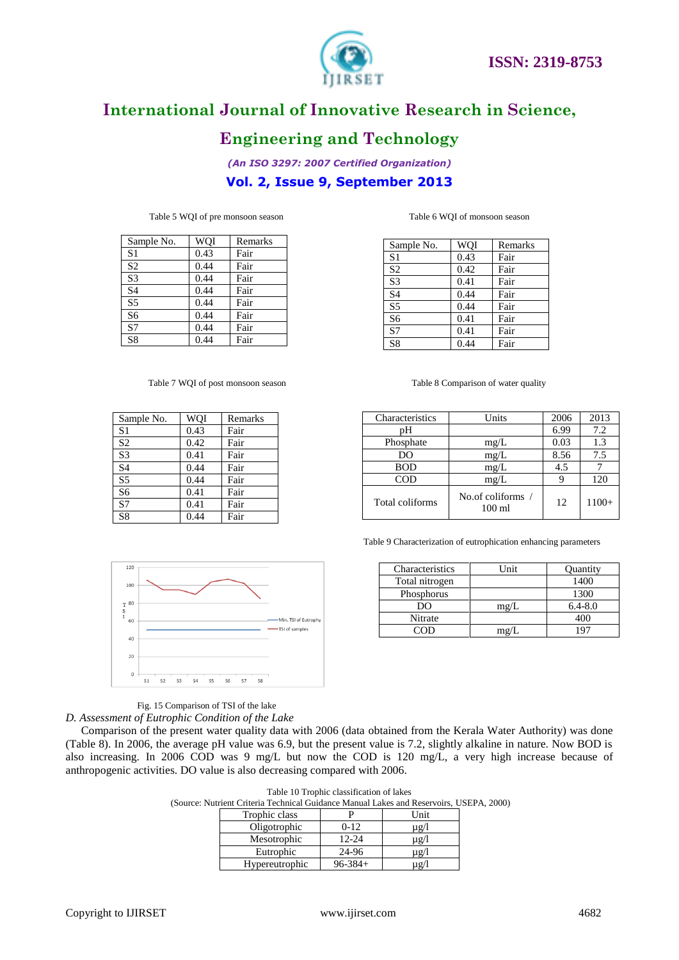



# **Engineering and Technology**

*(An ISO 3297: 2007 Certified Organization)* **Vol. 2, Issue 9, September 2013**

| Sample No.     | WOI  | Remarks |
|----------------|------|---------|
| S <sub>1</sub> | 0.43 | Fair    |
| S <sub>2</sub> | 0.44 | Fair    |
| S <sub>3</sub> | 0.44 | Fair    |
| <b>S4</b>      | 0.44 | Fair    |
| S <sub>5</sub> | 0.44 | Fair    |
| S <sub>6</sub> | 0.44 | Fair    |
| S7             | 0.44 | Fair    |
| S <sub>8</sub> | 0.44 | Fair    |

Sample No. | WQI | Remarks S1 0.43 Fair S2 0.42 Fair 83 0.41 Fair<br>84 0.44 Fair

S5 0.44 Fair S6 0.41 Fair S7 0.41 Fair S8 0.44 Fair

Table 5 WQI of pre monsoon season Table 6 WQI of monsoon season

| Sample No.             | WOI  | Remarks |
|------------------------|------|---------|
| S <sub>1</sub>         | 0.43 | Fair    |
| S <sub>2</sub>         | 0.42 | Fair    |
| S <sub>3</sub>         | 0.41 | Fair    |
| S <sub>4</sub>         | 0.44 | Fair    |
| $\overline{\text{S5}}$ | 0.44 | Fair    |
| S <sub>6</sub>         | 0.41 | Fair    |
| S7                     | 0.41 | Fair    |
| S <sub>8</sub>         | 0.44 | Fair    |
|                        |      |         |

#### Table 7 WQI of post monsoon season Table 8 Comparison of water quality

| Characteristics | Units                                 | 2006 | 2013    |
|-----------------|---------------------------------------|------|---------|
| pН              |                                       | 6.99 | 7.2     |
| Phosphate       | mg/L                                  | 0.03 | 1.3     |
| DO              | mg/L                                  | 8.56 | 7.5     |
| <b>BOD</b>      | mg/L                                  | 4.5  |         |
| COD             | mg/L                                  |      | 120     |
| Total coliforms | No.of coliforms /<br>$100 \text{ ml}$ | 12   | $1100+$ |

Table 9 Characterization of eutrophication enhancing parameters

| Characteristics | I Jnit | Quantity    |
|-----------------|--------|-------------|
| Total nitrogen  |        | 1400        |
| Phosphorus      |        | 1300        |
|                 | mg/L   | $6.4 - 8.0$ |
| Nitrate         |        |             |
|                 | mg/    |             |

 $\overline{120}$  $10<sup>c</sup>$  $T^{80}$ 60 Min. TSI of Eutrophy -TSI of samples 40  $\overline{20}$  $\overline{a}$  $51$  $52$  $S<sub>3</sub>$  $S4$  $^{\circ}$  S5 **S6 S7**  $58$ 

 $0.44$  Fair

Fig. 15 Comparison of TSI of the lake

*D. Assessment of Eutrophic Condition of the Lake*

Comparison of the present water quality data with 2006 (data obtained from the Kerala Water Authority) was done (Table 8). In 2006, the average pH value was 6.9, but the present value is 7.2, slightly alkaline in nature. Now BOD is also increasing. In 2006 COD was 9 mg/L but now the COD is 120 mg/L, a very high increase because of anthropogenic activities. DO value is also decreasing compared with 2006.

| Table 10 Trophic classification of lakes |
|------------------------------------------|
|------------------------------------------|

(Source: Nutrient Criteria Technical Guidance Manual Lakes and Reservoirs, USEPA, 2000)

| Trophic class  |              | <b>Init</b> |
|----------------|--------------|-------------|
| Oligotrophic   | $0 - 12$     | $\mu$ g/l   |
| Mesotrophic    | 12-24        | $\mu$ g/l   |
| Eutrophic      | 24-96        | $\mu$ g/l   |
| Hypereutrophic | $96 - 384 +$ | $\mu$ g/'   |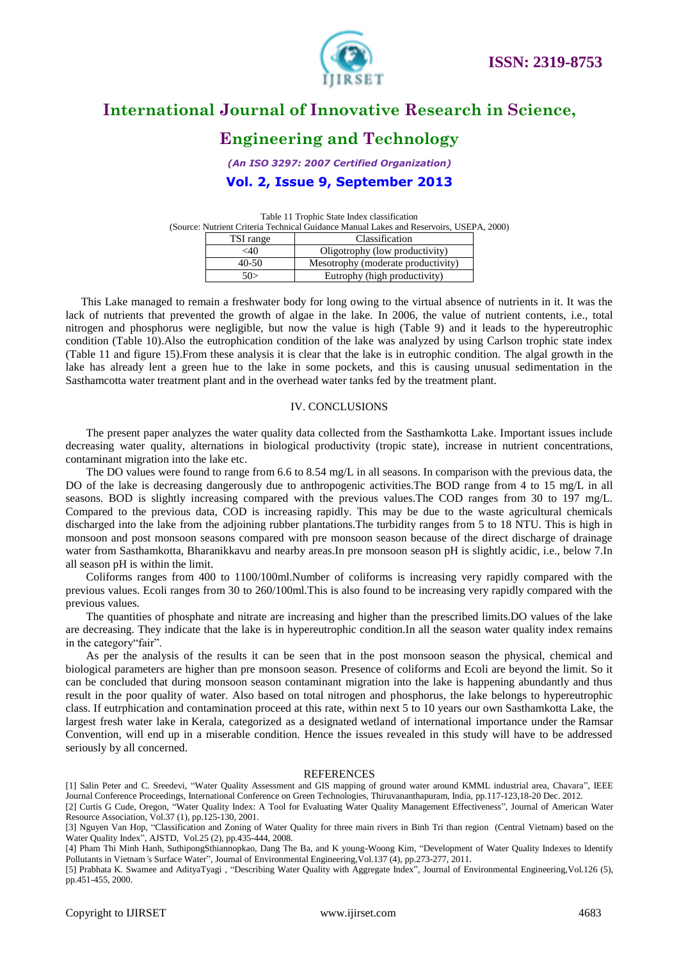



# **Engineering and Technology**

*(An ISO 3297: 2007 Certified Organization)*

**Vol. 2, Issue 9, September 2013**

Table 11 Trophic State Index classification (Source: Nutrient Criteria Technical Guidance Manual Lakes and Reservoirs, USEPA, 2000)

| TSI range | Classification                     |
|-----------|------------------------------------|
| $<$ 40    | Oligotrophy (low productivity)     |
| 40-50     | Mesotrophy (moderate productivity) |
| 50>       | Eutrophy (high productivity)       |

This Lake managed to remain a freshwater body for long owing to the virtual absence of nutrients in it. It was the lack of nutrients that prevented the growth of algae in the lake. In 2006, the value of nutrient contents, i.e., total nitrogen and phosphorus were negligible, but now the value is high (Table 9) and it leads to the hypereutrophic condition (Table 10).Also the eutrophication condition of the lake was analyzed by using Carlson trophic state index (Table 11 and figure 15).From these analysis it is clear that the lake is in eutrophic condition. The algal growth in the lake has already lent a green hue to the lake in some pockets, and this is causing unusual sedimentation in the Sasthamcotta water treatment plant and in the overhead water tanks fed by the treatment plant.

#### IV. CONCLUSIONS

The present paper analyzes the water quality data collected from the Sasthamkotta Lake. Important issues include decreasing water quality, alternations in biological productivity (tropic state), increase in nutrient concentrations, contaminant migration into the lake etc.

The DO values were found to range from 6.6 to 8.54 mg/L in all seasons. In comparison with the previous data, the DO of the lake is decreasing dangerously due to anthropogenic activities. The BOD range from 4 to 15 mg/L in all seasons. BOD is slightly increasing compared with the previous values. The COD ranges from 30 to 197 mg/L. Compared to the previous data, COD is increasing rapidly. This may be due to the waste agricultural chemicals discharged into the lake from the adjoining rubber plantations.The turbidity ranges from 5 to 18 NTU. This is high in monsoon and post monsoon seasons compared with pre monsoon season because of the direct discharge of drainage water from Sasthamkotta, Bharanikkavu and nearby areas.In pre monsoon season pH is slightly acidic, i.e., below 7.In all season pH is within the limit.

Coliforms ranges from 400 to 1100/100ml.Number of coliforms is increasing very rapidly compared with the previous values. Ecoli ranges from 30 to 260/100ml.This is also found to be increasing very rapidly compared with the previous values.

The quantities of phosphate and nitrate are increasing and higher than the prescribed limits.DO values of the lake are decreasing. They indicate that the lake is in hypereutrophic condition.In all the season water quality index remains in the category"fair".

As per the analysis of the results it can be seen that in the post monsoon season the physical, chemical and biological parameters are higher than pre monsoon season. Presence of coliforms and Ecoli are beyond the limit. So it can be concluded that during monsoon season contaminant migration into the lake is happening abundantly and thus result in the poor quality of water. Also based on total nitrogen and phosphorus, the lake belongs to hypereutrophic class. If eutrphication and contamination proceed at this rate, within next 5 to 10 years our own Sasthamkotta Lake, the largest fresh water lake in Kerala, categorized as a designated wetland of international importance under the Ramsar Convention, will end up in a miserable condition. Hence the issues revealed in this study will have to be addressed seriously by all concerned.

#### REFERENCES

<sup>[1]</sup> Salin Peter and C. Sreedevi, "Water Quality Assessment and GIS mapping of ground water around KMML industrial area, Chavara", IEEE Journal Conference Proceedings, International Conference on Green Technologies, Thiruvananthapuram, India, pp.117-123,18-20 Dec. 2012. [2] Curtis G Cude, Oregon, "Water Quality Index: A Tool for Evaluating Water Quality Management Effectiveness", Journal of American Water

Resource Association, Vol.37 (1), pp.125-130, 2001.

<sup>[3]</sup> Nguyen Van Hop, "Classification and Zoning of Water Quality for three main rivers in Binh Tri than region (Central Vietnam) based on the Water Quality Index", AJSTD, Vol.25 (2), pp.435-444, 2008.

<sup>[4]</sup> Pham Thi Minh Hanh, SuthipongSthiannopkao, Dang The Ba, and K young-Woong Kim, "Development of Water Quality Indexes to Identify Pollutants in Vietnam*'*s Surface Water", Journal of Environmental Engineering,Vol.137 (4), pp.273-277, 2011.

<sup>[5]</sup> Prabhata K. Swamee and AdityaTyagi , "Describing Water Quality with Aggregate Index", Journal of Environmental Engineering,Vol.126 (5), pp.451-455, 2000.